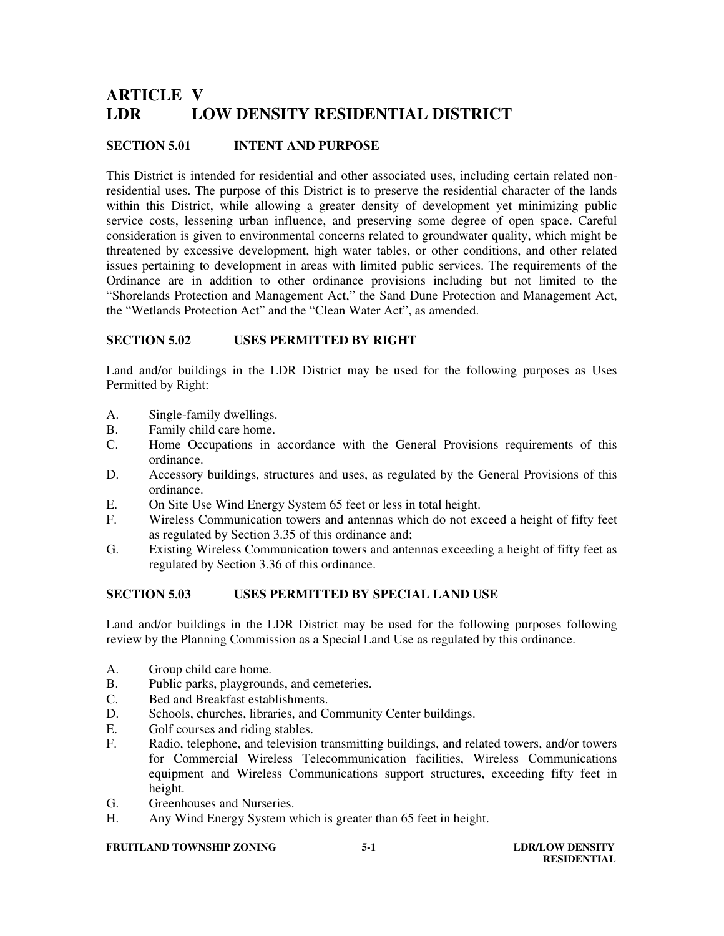# **ARTICLE V LDR LOW DENSITY RESIDENTIAL DISTRICT**

#### **SECTION 5.01 INTENT AND PURPOSE**

This District is intended for residential and other associated uses, including certain related nonresidential uses. The purpose of this District is to preserve the residential character of the lands within this District, while allowing a greater density of development yet minimizing public service costs, lessening urban influence, and preserving some degree of open space. Careful consideration is given to environmental concerns related to groundwater quality, which might be threatened by excessive development, high water tables, or other conditions, and other related issues pertaining to development in areas with limited public services. The requirements of the Ordinance are in addition to other ordinance provisions including but not limited to the "Shorelands Protection and Management Act," the Sand Dune Protection and Management Act, the "Wetlands Protection Act" and the "Clean Water Act", as amended.

#### **SECTION 5.02 USES PERMITTED BY RIGHT**

Land and/or buildings in the LDR District may be used for the following purposes as Uses Permitted by Right:

- A. Single-family dwellings.
- B. Family child care home.
- C. Home Occupations in accordance with the General Provisions requirements of this ordinance.
- D. Accessory buildings, structures and uses, as regulated by the General Provisions of this ordinance.
- E. On Site Use Wind Energy System 65 feet or less in total height.
- F. Wireless Communication towers and antennas which do not exceed a height of fifty feet as regulated by Section 3.35 of this ordinance and;
- G. Existing Wireless Communication towers and antennas exceeding a height of fifty feet as regulated by Section 3.36 of this ordinance.

### **SECTION 5.03 USES PERMITTED BY SPECIAL LAND USE**

Land and/or buildings in the LDR District may be used for the following purposes following review by the Planning Commission as a Special Land Use as regulated by this ordinance.

- A. Group child care home.
- B. Public parks, playgrounds, and cemeteries.<br>C. Bed and Breakfast establishments.
- Bed and Breakfast establishments.
- D. Schools, churches, libraries, and Community Center buildings.
- E. Golf courses and riding stables.
- F. Radio, telephone, and television transmitting buildings, and related towers, and/or towers for Commercial Wireless Telecommunication facilities, Wireless Communications equipment and Wireless Communications support structures, exceeding fifty feet in height.
- G. Greenhouses and Nurseries.<br>
H Any Wind Energy System w
- Any Wind Energy System which is greater than 65 feet in height.

#### **FRUITLAND TOWNSHIP ZONING 5-1 5-1 LDR/LOW DENSITY**